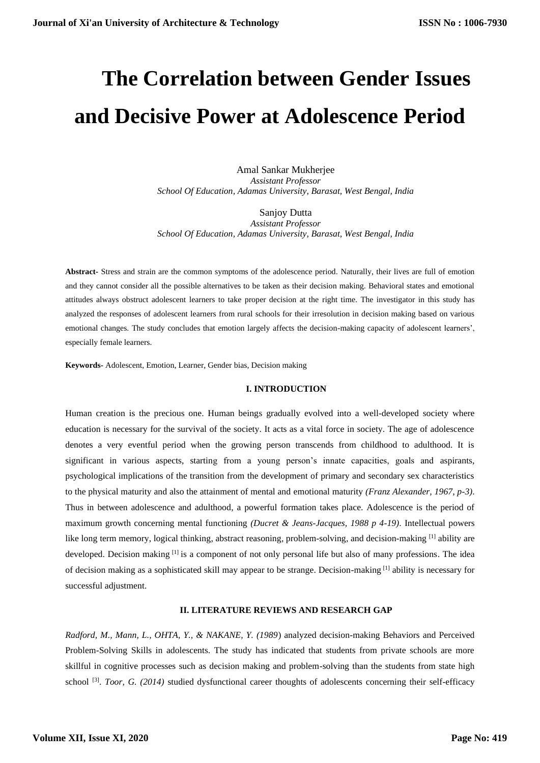# **The Correlation between Gender Issues and Decisive Power at Adolescence Period**

Amal Sankar Mukherjee *Assistant Professor School Of Education, Adamas University, Barasat, West Bengal, India*

Sanjoy Dutta *Assistant Professor School Of Education, Adamas University, Barasat, West Bengal, India*

**Abstract-** Stress and strain are the common symptoms of the adolescence period. Naturally, their lives are full of emotion and they cannot consider all the possible alternatives to be taken as their decision making. Behavioral states and emotional attitudes always obstruct adolescent learners to take proper decision at the right time. The investigator in this study has analyzed the responses of adolescent learners from rural schools for their irresolution in decision making based on various emotional changes. The study concludes that emotion largely affects the decision-making capacity of adolescent learners', especially female learners.

**Keywords-** Adolescent, Emotion, Learner, Gender bias, Decision making

#### **I. INTRODUCTION**

Human creation is the precious one. Human beings gradually evolved into a well-developed society where education is necessary for the survival of the society. It acts as a vital force in society. The age of adolescence denotes a very eventful period when the growing person transcends from childhood to adulthood. It is significant in various aspects, starting from a young person's innate capacities, goals and aspirants, psychological implications of the transition from the development of primary and secondary sex characteristics to the physical maturity and also the attainment of mental and emotional maturity *(Franz Alexander, 1967, p-3)*. Thus in between adolescence and adulthood, a powerful formation takes place. Adolescence is the period of maximum growth concerning mental functioning *(Ducret & Jeans-Jacques, 1988 p 4-19)*. Intellectual powers like long term memory, logical thinking, abstract reasoning, problem-solving, and decision-making [1] ability are developed. Decision making [1] is a component of not only personal life but also of many professions. The idea of decision making as a sophisticated skill may appear to be strange. Decision-making [1] ability is necessary for successful adjustment.

## **II. LITERATURE REVIEWS AND RESEARCH GAP**

*Radford, M., Mann, L., OHTA, Y., & NAKANE, Y. (1989*) analyzed decision-making Behaviors and Perceived Problem-Solving Skills in adolescents. The study has indicated that students from private schools are more skillful in cognitive processes such as decision making and problem-solving than the students from state high school<sup>[3]</sup>. *Toor, G. (2014)* studied dysfunctional career thoughts of adolescents concerning their self-efficacy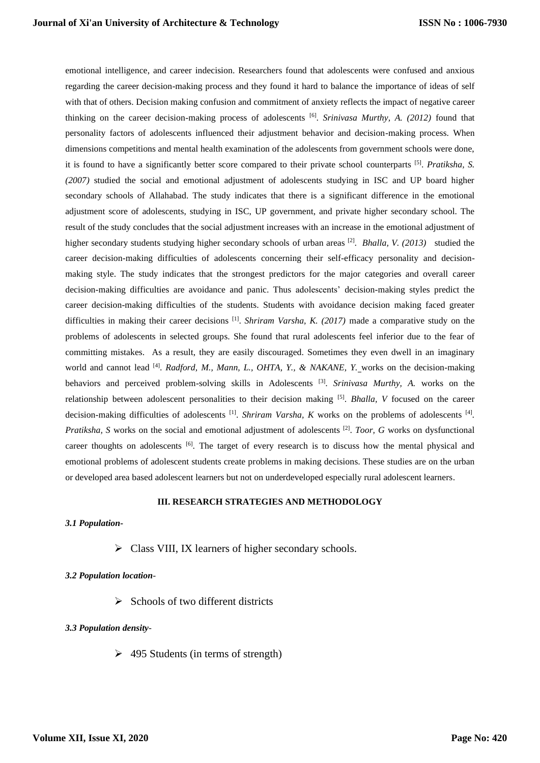emotional intelligence, and career indecision. Researchers found that adolescents were confused and anxious regarding the career decision-making process and they found it hard to balance the importance of ideas of self with that of others. Decision making confusion and commitment of anxiety reflects the impact of negative career thinking on the career decision-making process of adolescents [6] . *Srinivasa Murthy, A. (2012)* found that personality factors of adolescents influenced their adjustment behavior and decision-making process. When dimensions competitions and mental health examination of the adolescents from government schools were done, it is found to have a significantly better score compared to their private school counterparts [5] . *Pratiksha, S. (2007)* studied the social and emotional adjustment of adolescents studying in ISC and UP board higher secondary schools of Allahabad. The study indicates that there is a significant difference in the emotional adjustment score of adolescents, studying in ISC, UP government, and private higher secondary school. The result of the study concludes that the social adjustment increases with an increase in the emotional adjustment of higher secondary students studying higher secondary schools of urban areas <sup>[2]</sup>. *Bhalla, V. (2013)* studied the career decision-making difficulties of adolescents concerning their self-efficacy personality and decisionmaking style. The study indicates that the strongest predictors for the major categories and overall career decision-making difficulties are avoidance and panic. Thus adolescents' decision-making styles predict the career decision-making difficulties of the students. Students with avoidance decision making faced greater difficulties in making their career decisions <sup>[1]</sup>. *Shriram Varsha, K. (2017)* made a comparative study on the problems of adolescents in selected groups. She found that rural adolescents feel inferior due to the fear of committing mistakes. As a result, they are easily discouraged. Sometimes they even dwell in an imaginary world and cannot lead <sup>[4]</sup>. *Radford, M., Mann, L., OHTA, Y., & NAKANE, Y.* works on the decision-making behaviors and perceived problem-solving skills in Adolescents [3] . *Srinivasa Murthy, A.* works on the relationship between adolescent personalities to their decision making [5] . *Bhalla, V* focused on the career decision-making difficulties of adolescents  $^{[1]}$ . *Shriram Varsha, K* works on the problems of adolescents  $^{[4]}$ . *Pratiksha, S* works on the social and emotional adjustment of adolescents <sup>[2]</sup>. *Toor, G* works on dysfunctional career thoughts on adolescents <sup>[6]</sup>. The target of every research is to discuss how the mental physical and emotional problems of adolescent students create problems in making decisions. These studies are on the urban or developed area based adolescent learners but not on underdeveloped especially rural adolescent learners.

# **III. RESEARCH STRATEGIES AND METHODOLOGY**

## *3.1 Population-*

➢ Class VIII, IX learners of higher secondary schools.

## *3.2 Population location-*

 $\triangleright$  Schools of two different districts

# *3.3 Population density-*

 $\geq 495$  Students (in terms of strength)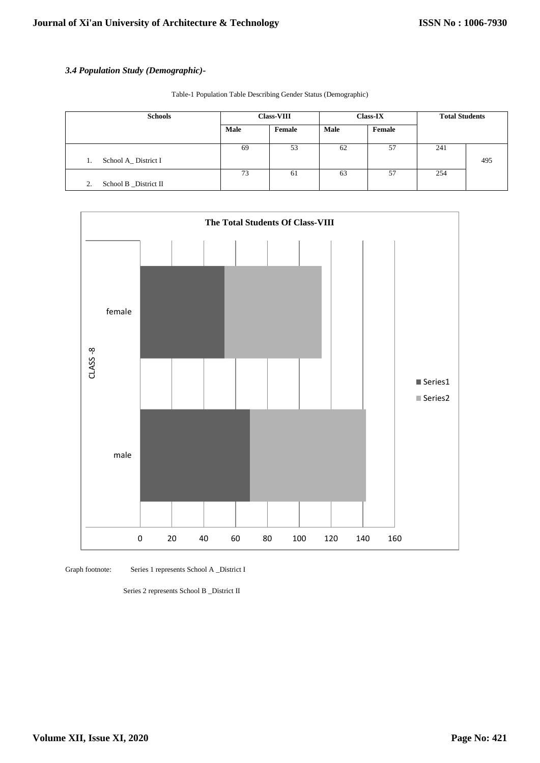# *3.4 Population Study (Demographic)-*

Table-1 Population Table Describing Gender Status (Demographic)

| <b>Schools</b>              | <b>Class-VIII</b> |        | <b>Class-IX</b> |        | <b>Total Students</b> |     |
|-----------------------------|-------------------|--------|-----------------|--------|-----------------------|-----|
|                             | Male              | Female | Male            | Female |                       |     |
|                             | 69                | 53     | 62              | 57     | 241                   |     |
| School A_District I<br>1.   |                   |        |                 |        |                       | 495 |
|                             | 73                | 61     | 63              | 57     | 254                   |     |
| School B _District II<br>2. |                   |        |                 |        |                       |     |



Graph footnote: Series 1 represents School A \_District I

Series 2 represents School B \_District II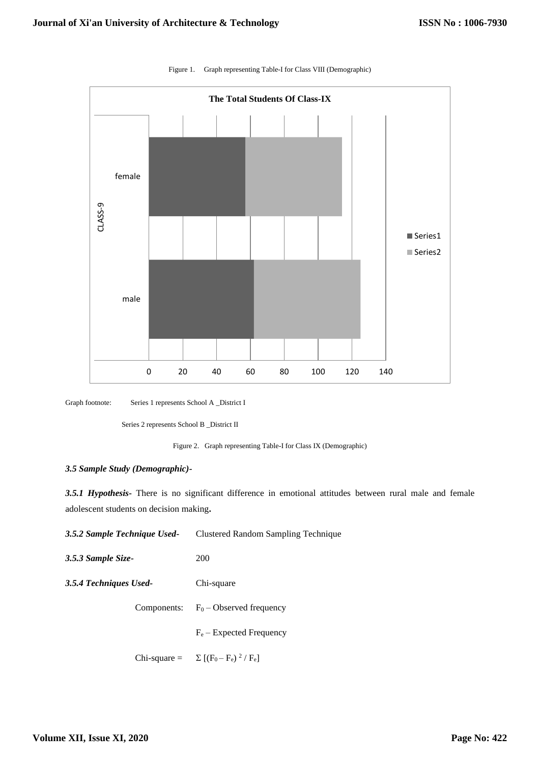

Figure 1. Graph representing Table-I for Class VIII (Demographic)

Graph footnote: Series 1 represents School A \_District I

Series 2 represents School B \_District II

Figure 2.Graph representing Table-I for Class IX (Demographic)

## *3.5 Sample Study (Demographic)-*

*3.5.1 Hypothesis***-** There is no significant difference in emotional attitudes between rural male and female adolescent students on decision making**.**

| 3.5.2 Sample Technique Used- | Clustered Random Sampling Technique           |  |  |
|------------------------------|-----------------------------------------------|--|--|
| 3.5.3 Sample Size-           | 200                                           |  |  |
| 3.5.4 Techniques Used-       | Chi-square                                    |  |  |
|                              | Components: $F_0$ – Observed frequency        |  |  |
|                              | $F_e$ – Expected Frequency                    |  |  |
|                              | Chi-square = $\Sigma$ $[(F_0 - F_e)^2 / F_e]$ |  |  |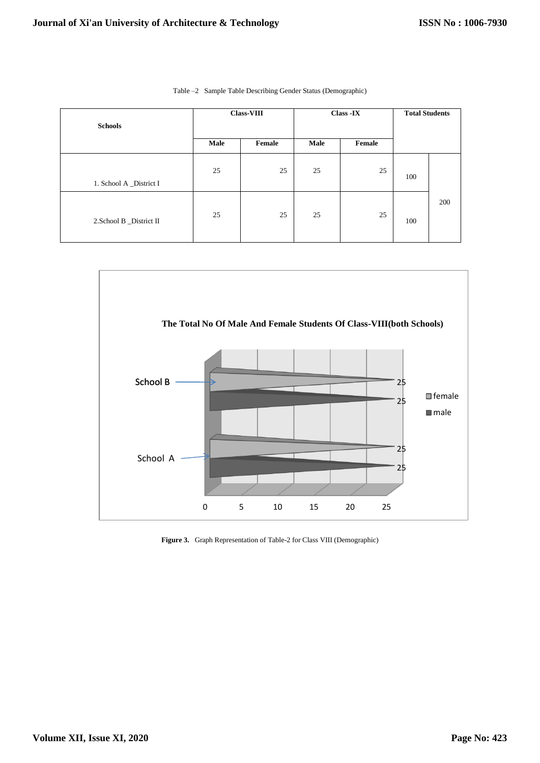| <b>Schools</b>           | <b>Class-VIII</b> |        |      | Class -IX | <b>Total Students</b> |     |
|--------------------------|-------------------|--------|------|-----------|-----------------------|-----|
|                          | Male              | Female | Male | Female    |                       |     |
| 1. School A _District I  | 25                | 25     | 25   | 25        | 100                   |     |
| 2. School B _District II | 25                | 25     | 25   | 25        | 100                   | 200 |

|  |  |  |  |  |  | Table -2 Sample Table Describing Gender Status (Demographic) |
|--|--|--|--|--|--|--------------------------------------------------------------|
|--|--|--|--|--|--|--------------------------------------------------------------|



**Figure 3.** Graph Representation of Table-2 for Class VIII (Demographic)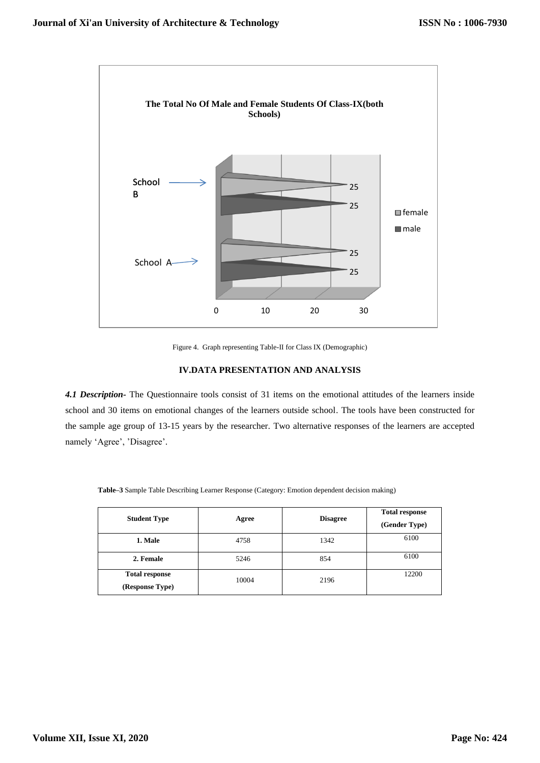

Figure 4. Graph representing Table-II for Class IX (Demographic)

## **IV.DATA PRESENTATION AND ANALYSIS**

*4.1 Description-* The Questionnaire tools consist of 31 items on the emotional attitudes of the learners inside school and 30 items on emotional changes of the learners outside school. The tools have been constructed for the sample age group of 13-15 years by the researcher. Two alternative responses of the learners are accepted namely 'Agree', 'Disagree'.

| <b>Student Type</b>                      | Agree | <b>Disagree</b> | <b>Total response</b><br>(Gender Type) |
|------------------------------------------|-------|-----------------|----------------------------------------|
| 1. Male                                  | 4758  | 1342            | 6100                                   |
| 2. Female                                | 5246  | 854             | 6100                                   |
| <b>Total response</b><br>(Response Type) | 10004 | 2196            | 12200                                  |

**Table–3** Sample Table Describing Learner Response (Category: Emotion dependent decision making)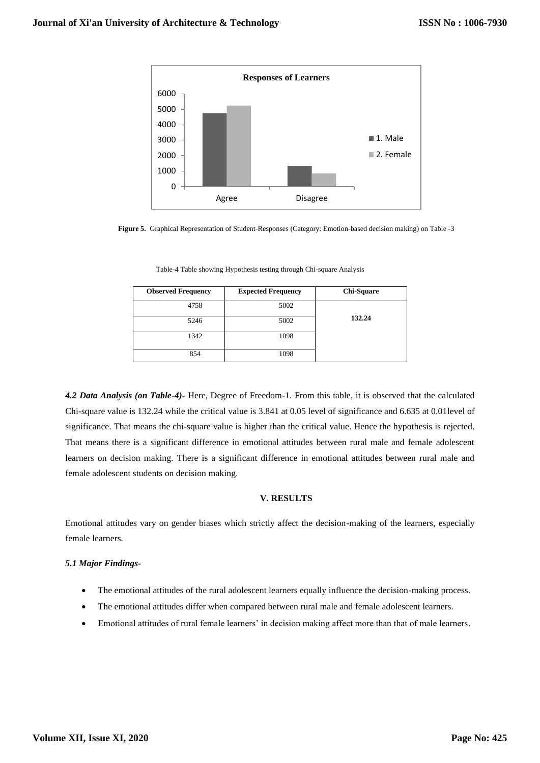

**Figure 5.** Graphical Representation of Student-Responses (Category: Emotion-based decision making) on Table -3

| <b>Observed Frequency</b> | <b>Expected Frequency</b> | <b>Chi-Square</b> |
|---------------------------|---------------------------|-------------------|
| 4758                      | 5002                      |                   |
| 5246                      | 5002                      | 132.24            |
| 1342                      | 1098                      |                   |
| 854                       | 1098                      |                   |

Table-4 Table showing Hypothesis testing through Chi-square Analysis

*4.2 Data Analysis (on Table-4)-* Here, Degree of Freedom-1. From this table, it is observed that the calculated Chi-square value is 132.24 while the critical value is 3.841 at 0.05 level of significance and 6.635 at 0.01level of significance. That means the chi-square value is higher than the critical value. Hence the hypothesis is rejected. That means there is a significant difference in emotional attitudes between rural male and female adolescent learners on decision making. There is a significant difference in emotional attitudes between rural male and female adolescent students on decision making.

## **V. RESULTS**

Emotional attitudes vary on gender biases which strictly affect the decision-making of the learners, especially female learners.

## *5.1 Major Findings-*

- The emotional attitudes of the rural adolescent learners equally influence the decision-making process.
- The emotional attitudes differ when compared between rural male and female adolescent learners.
- Emotional attitudes of rural female learners' in decision making affect more than that of male learners.